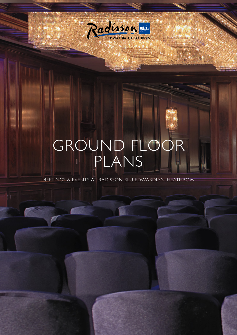

# GROUND FLOOR PLANS

MEETINGS & EVENTS AT RADISSON BLU EDWARDIAN, HEATHROW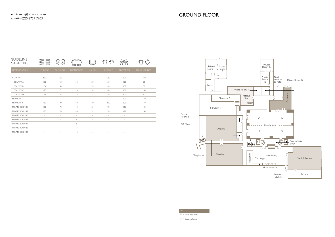

| $=$ Bar & restaurants |
|-----------------------|

 $=$  Beauty & fitness

| <b>GUIDELINE</b><br><b>CAPACITIES</b> | <b>ODDD</b><br>0000<br>0000<br>OOOO<br>oooo<br>oooo<br>pooo<br>ooo | DDD<br>$\mathcal{A}\hspace{-1pt}\mathcal{Q}\hspace{-1pt}\mathcal{Q}$<br>èd,<br><b>ADD</b> | 000000<br>g<br>B<br>000000 | g<br>le<br>00000         | $\triangle \triangle$<br>$\phi^{\text{LQ}}$<br>9 | rawa                     |              |
|---------------------------------------|--------------------------------------------------------------------|-------------------------------------------------------------------------------------------|----------------------------|--------------------------|--------------------------------------------------|--------------------------|--------------|
| NAME OF ROOM                          | <b>THEATRE</b>                                                     | <b>CLASSROOM</b>                                                                          | <b>BOARDROOM</b>           | U-SHAPE                  | <b>CABARET</b>                                   | <b>RECEPTION</b>         | LUNCH/DINNER |
| <b>COUNTY</b>                         | 500                                                                | 230                                                                                       | $\sim$                     | $\overline{\phantom{a}}$ | 230                                              | 500                      | 350          |
| <b>COUNTY A</b>                       | 100                                                                | 50                                                                                        | 32                         | 20                       | 50                                               | 100                      | 60           |
| <b>COUNTY B</b>                       | 70                                                                 | 40                                                                                        | 32                         | 28                       | 40                                               | 100                      | 50           |
| COUNTY C                              | 120                                                                | 72                                                                                        | 36                         | 34                       | 80                                               | 100                      | 100          |
| COUNTY D                              | 90                                                                 | 65                                                                                        | 36                         | 32                       | 50                                               | 100                      | 60           |
| NEWBURY I                             | $\overline{\phantom{a}}$                                           | $\sim$                                                                                    | $\sim$                     | $\sim$                   | $\overline{\phantom{a}}$                         | 500                      | 250          |
| NEWBURY II                            | 150                                                                | 80                                                                                        | 70                         | 60                       | 120                                              | 300                      | 150          |
| PRIVATE ROOM II                       | 100                                                                | 70                                                                                        | 40                         | 35                       | 70                                               | 125                      | 100          |
| PRIVATE ROOM 12                       | 100                                                                | 70                                                                                        | 40                         | 35                       | 70                                               | 125                      | 100          |
| PRIVATE ROOM 15                       | $\overline{\phantom{a}}$                                           | $\sim$                                                                                    | $\overline{4}$             | $\sim$                   | $\overline{\phantom{a}}$                         | $\overline{\phantom{a}}$ | $\sim$       |
| PRIVATE ROOM 16                       | ٠                                                                  | $\sim$                                                                                    | 8                          |                          | $\bar{a}$                                        | $\sim$                   |              |
| PRIVATE ROOM 17                       | $\overline{\phantom{a}}$                                           | $\overline{\phantom{a}}$                                                                  | 6                          | $\sim$                   | $\overline{\phantom{a}}$                         | $\sim$                   |              |
| PRIVATE ROOM 18                       | ä,                                                                 |                                                                                           | 4                          |                          | $\bar{a}$                                        |                          |              |
| PRIVATE ROOM 19                       | $\overline{\phantom{a}}$                                           |                                                                                           | 2                          |                          | $\overline{\phantom{a}}$                         |                          |              |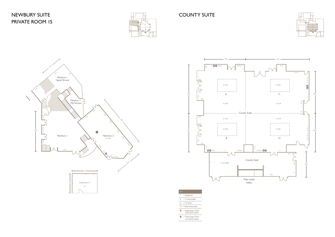## NEWBURY SUITE PRIVATE ROOM 15



### COUNTY SUITE

| Key |                                           |
|-----|-------------------------------------------|
| Т   | $=$ Telephone                             |
|     | $X = 13$ amp socket                       |
| А   | $= TV$ aerial                             |
|     | $T5 = Data access point$                  |
| ⋒   | $=$ Single phase (32A)<br>commando socket |
|     | $=$ Three phase (32A)<br>commando socket  |





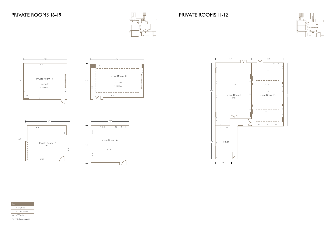

X X





| Key |                          |
|-----|--------------------------|
| T.  | $=$ Telephone            |
|     | $X = 13$ amp socket      |
|     | $A = TV$ aerial          |
|     | $T5 = Data access point$ |